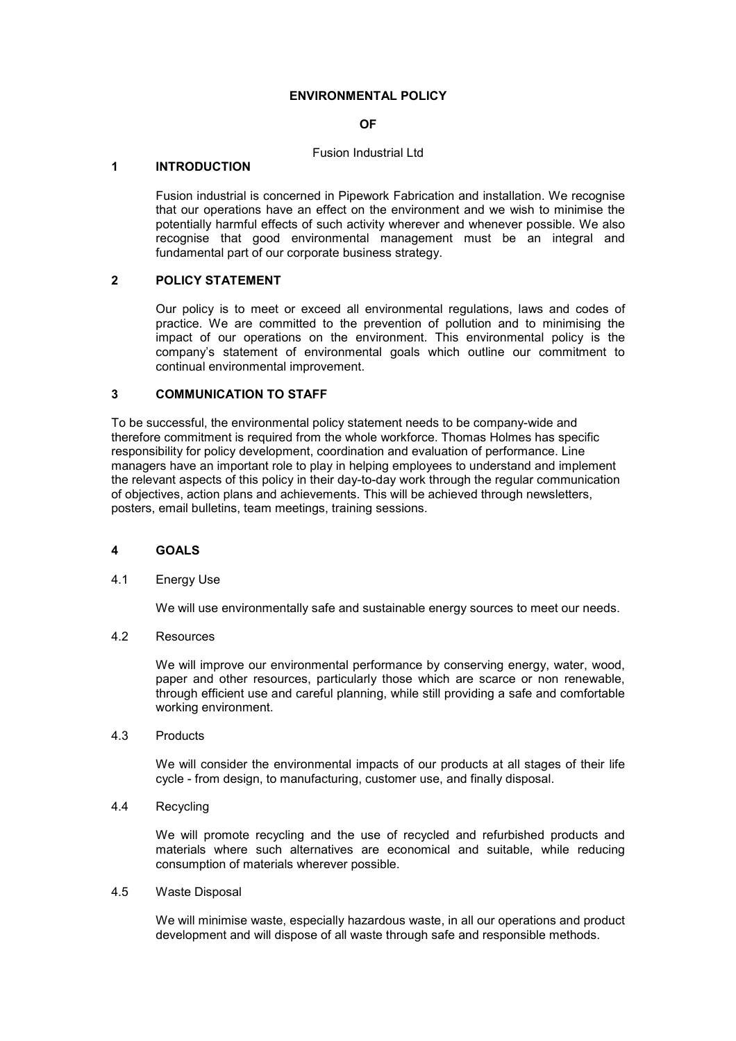## ENVIRONMENTAL POLICY

## OF

#### Fusion Industrial Ltd

#### 1 INTRODUCTION

Fusion industrial is concerned in Pipework Fabrication and installation. We recognise that our operations have an effect on the environment and we wish to minimise the potentially harmful effects of such activity wherever and whenever possible. We also recognise that good environmental management must be an integral and fundamental part of our corporate business strategy.

## 2 POLICY STATEMENT

Our policy is to meet or exceed all environmental regulations, laws and codes of practice. We are committed to the prevention of pollution and to minimising the impact of our operations on the environment. This environmental policy is the company's statement of environmental goals which outline our commitment to continual environmental improvement.

## 3 COMMUNICATION TO STAFF

To be successful, the environmental policy statement needs to be company-wide and therefore commitment is required from the whole workforce. Thomas Holmes has specific responsibility for policy development, coordination and evaluation of performance. Line managers have an important role to play in helping employees to understand and implement the relevant aspects of this policy in their day-to-day work through the regular communication of objectives, action plans and achievements. This will be achieved through newsletters, posters, email bulletins, team meetings, training sessions.

# 4 GOALS

## 4.1 Energy Use

We will use environmentally safe and sustainable energy sources to meet our needs.

## 4.2 Resources

We will improve our environmental performance by conserving energy, water, wood, paper and other resources, particularly those which are scarce or non renewable, through efficient use and careful planning, while still providing a safe and comfortable working environment.

#### 4.3 Products

 We will consider the environmental impacts of our products at all stages of their life cycle - from design, to manufacturing, customer use, and finally disposal.

# 4.4 Recycling

 We will promote recycling and the use of recycled and refurbished products and materials where such alternatives are economical and suitable, while reducing consumption of materials wherever possible.

#### 4.5 Waste Disposal

We will minimise waste, especially hazardous waste, in all our operations and product development and will dispose of all waste through safe and responsible methods.